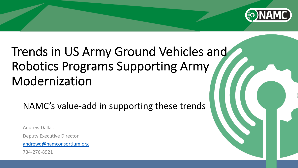

# Trends in US Army Ground Vehicl R[obotics Progr](mailto:andrewd@namconsortium.org)ams Supporting Ar Modernization

NAMC's value-add in supporting these tre

Andrew Dallas Deputy Executive Director andrewd@namconsortium.org 734-276-8921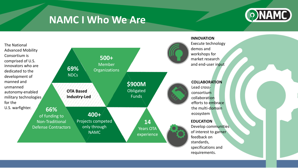### **NAMC I Who We Are**



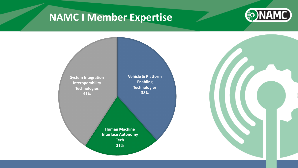## **NAMC I Member Expertise**



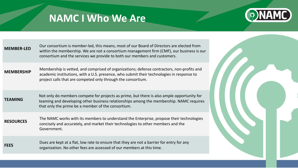### **NAMC I Who We Are**



| <b>MEMBER-LED</b> | Our consortium is member-led, this means, most of our Board of Directors are elected from<br>within the membership. We are not a consortium management firm (CMF), our business is our<br>consortium and the services we provide to both our members and customers. |  |
|-------------------|---------------------------------------------------------------------------------------------------------------------------------------------------------------------------------------------------------------------------------------------------------------------|--|
| <b>MEMBERSHIP</b> | Membership is vetted, and comprised of organizations; defense contractors, non-profits and<br>academic institutions, with a U.S. presence, who submit their technologies in response to<br>project calls that are competed only through the consortium.             |  |
| <b>TEAMING</b>    | Not only do members compete for projects as prime, but there is also ample opportunity for<br>teaming and developing other business relationships among the membership. NAMC requires<br>that only the prime be a member of the consortium.                         |  |
| <b>RESOURCES</b>  | The NAMC works with its members to understand the Enterprise, propose their technologies<br>concisely and accurately, and market their technologies to other members and the<br>Government.                                                                         |  |
| <b>FEES</b>       | Dues are kept at a flat, low rate to ensure that they are not a barrier for entry for any<br>organization. No other fees are assessed of our members at this time.                                                                                                  |  |
|                   |                                                                                                                                                                                                                                                                     |  |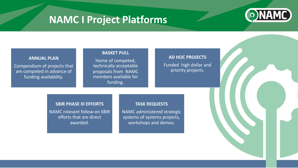# **NAMC I Project Platforms**



#### **BASKET PULL**

Home of competed, technically acceptable proposals from NAMC members available for funding.

### **AD HOC PROJECTS** Funded high dollar and priority projects.

#### **SBIR PHASE III EFFORTS**

**ANNUAL PLAN** 

Compendium of projects that are competed in advance of funding availability.

> NAMC relevant follow-on SBIR efforts that are direct awarded.

#### **TASK REQUESTS**

NAMC administered strategic systems of systems projects, workshops and demos.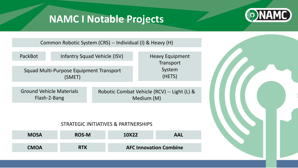### **NAMC I Notable Projects**



Common Robotic System (CRS) -- Individual (I) & Heavy (H)

| PackBot                                           |                                                 | <b>Infantry Squad Vehicle (ISV)</b>                       | <b>Heavy Equipment</b><br>Transport |  |
|---------------------------------------------------|-------------------------------------------------|-----------------------------------------------------------|-------------------------------------|--|
| Squad Multi-Purpose Equipment Transport<br>(SMET) |                                                 |                                                           | System<br>(HETS)                    |  |
|                                                   | <b>Ground Vehicle Materials</b><br>Flash-2-Bang | Robotic Combat Vehicle (RCV) -- Light (L) &<br>Medium (M) |                                     |  |

### STRATEGIC INITIATIVES & PARTNERSHIPS

| <b>MOSA</b> | <b>ROS-M</b> | 10X22                         | <b>AAL</b> |
|-------------|--------------|-------------------------------|------------|
| <b>CMOA</b> | <b>RTK</b>   | <b>AFC Innovation Combine</b> |            |

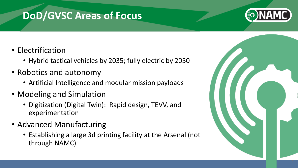### **DoD/GVSC Areas of Focus**



- Electrification
	- Hybrid tactical vehicles by 2035; fully electric by 2050
- Robotics and autonomy
	- Artificial Intelligence and modular mission payloads
- Modeling and Simulation
	- Digitization (Digital Twin): Rapid design, TEVV, and experimentation
- Advanced Manufacturing
	- Establishing a large 3d printing facility at the Arsenal (not through NAMC)

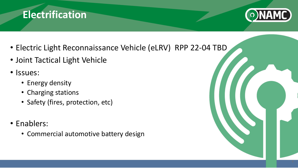



- Electric Light Reconnaissance Vehicle (eLRV) RPP 22-04 TBD
- Joint Tactical Light Vehicle
- Issues:
	- Energy density
	- Charging stations
	- Safety (fires, protection, etc)
- Enablers:
	- Commercial automotive battery design

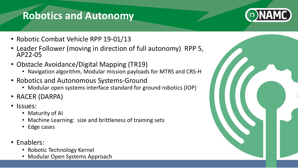## **Robotics and Autonomy**



- Robotic Combat Vehicle RPP 19-01/13
- Leader Follower (moving in direction of full autonomy) RPP 5, AP22-05
- Obstacle Avoidance/Digital Mapping (TR19)
	- Navigation algorithm, Modular mission payloads for MTRS and CRS-H
- Robotics and Autonomous Systems-Ground
	- Modular open systems interface standard for ground robotics (IOP)
- RACER (DARPA)
- Issues:
	- Maturity of AI
	- Machine Learning: size and brittleness of training sets
	- Edge cases
- Enablers:
	- Robotic Technology Kernel
	- Modular Open Systems Approach

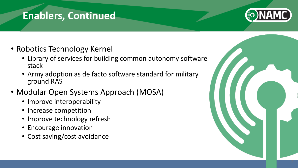### **Enablers, Continued**



- Robotics Technology Kernel
	- Library of services for building common autonomy software stack
	- Army adoption as de facto software standard for military ground RAS
- Modular Open Systems Approach (MOSA)
	- Improve interoperability
	- Increase competition
	- Improve technology refresh
	- Encourage innovation
	- Cost saving/cost avoidance